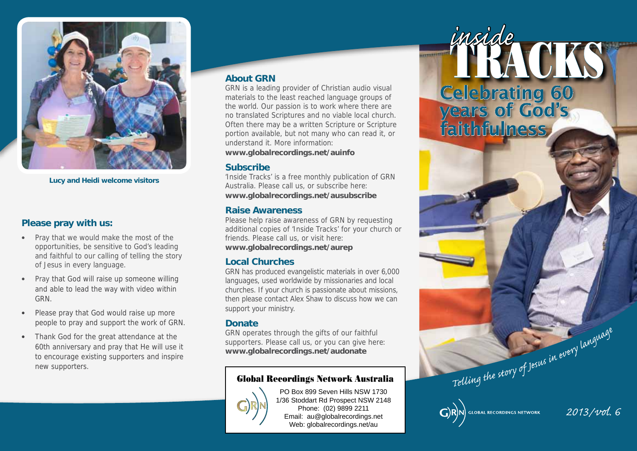

**Lucy and Heidi welcome visitors**

### **Please pray with us:**

- • Pray that we would make the most of the opportunities, be sensitive to God's leading and faithful to our calling of telling the story of Jesus in every language.
- Pray that God will raise up someone willing and able to lead the way with video within GRN.
- Please pray that God would raise up more people to pray and support the work of GRN.
- Thank God for the great attendance at the 60th anniversary and pray that He will use it to encourage existing supporters and inspire new supporters.

#### **About GRN**

GRN is a leading provider of Christian audio visual materials to the least reached language groups of the world. Our passion is to work where there are no translated Scriptures and no viable local church. Often there may be a written Scripture or Scripture portion available, but not many who can read it, or understand it. More information: **www.globalrecordings.net/auinfo**

#### **Subscribe**

'Inside Tracks' is a free monthly publication of GRN Australia. Please call us, or subscribe here: **www.globalrecordings.net/ausubscribe**

#### **Raise Awareness**

Please help raise awareness of GRN by requesting additional copies of 'Inside Tracks' for your church or friends. Please call us, or visit here: **www.globalrecordings.net/aurep**

#### **Local Churches**

GRN has produced evangelistic materials in over 6,000 languages, used worldwide by missionaries and local churches. If your church is passionate about missions, then please contact Alex Shaw to discuss how we can support your ministry.

#### **Donate**

GRN operates through the gifts of our faithful supporters. Please call us, or you can give here: **www.globalrecordings.net/audonate** 

## Global Recordings Network Australia



PO Box 899 Seven Hills NSW 1730 1/36 Stoddart Rd Prospect NSW 2148 Phone: (02) 9899 2211 Email: au@globalrecordings.net Web: globalrecordings.net/au

TRACKS Celebrating 60 years of God's faithfulness,

*inside*

*2013/vol. 6*

Telling the story of Jesus in every language

**GLOBAL RECORDINGS NETWORK**